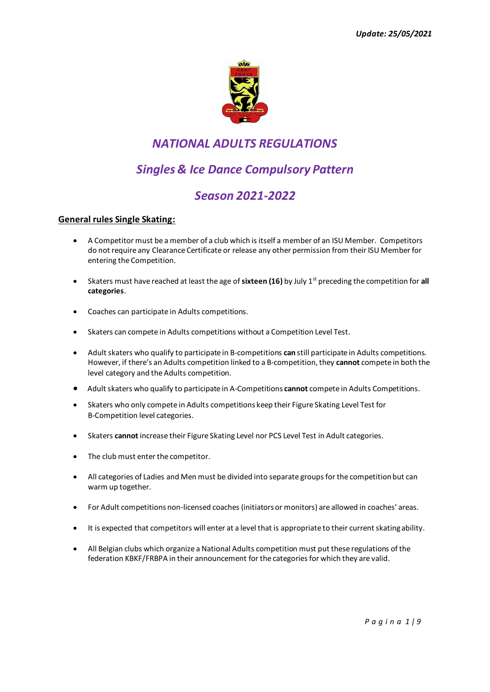

# *NATIONAL ADULTS REGULATIONS*

# *Singles & Ice Dance Compulsory Pattern*

# *Season 2021-2022*

### **General rules Single Skating:**

- A Competitor must be a member of a club which is itself a member of an ISU Member. Competitors do not require any Clearance Certificate or release any other permission from their ISU Member for entering the Competition.
- Skaters must have reached at least the age of **sixteen (16)** by July 1st preceding the competition for **all categories**.
- Coaches can participate in Adults competitions.
- Skaters can compete in Adults competitions without a Competition Level Test.
- Adult skaters who qualify to participate in B-competitions **can** still participate in Adults competitions. However, if there's an Adults competition linked to a B-competition, they **cannot** compete in both the level category and the Adults competition.
- Adult skaters who qualify to participate in A-Competitions **cannot** compete in Adults Competitions.
- Skaters who only compete in Adults competitions keep their Figure Skating Level Test for B-Competition level categories.
- Skaters **cannot** increase their Figure Skating Level nor PCS Level Test in Adult categories.
- The club must enter the competitor.
- All categories of Ladies and Men must be divided into separate groups for the competition but can warm up together.
- For Adult competitions non-licensed coaches (initiators or monitors) are allowed in coaches' areas.
- It is expected that competitors will enter at a level that is appropriate to their current skating ability.
- All Belgian clubs which organize a National Adults competition must put these regulations of the federation KBKF/FRBPA in their announcement for the categories for which they are valid.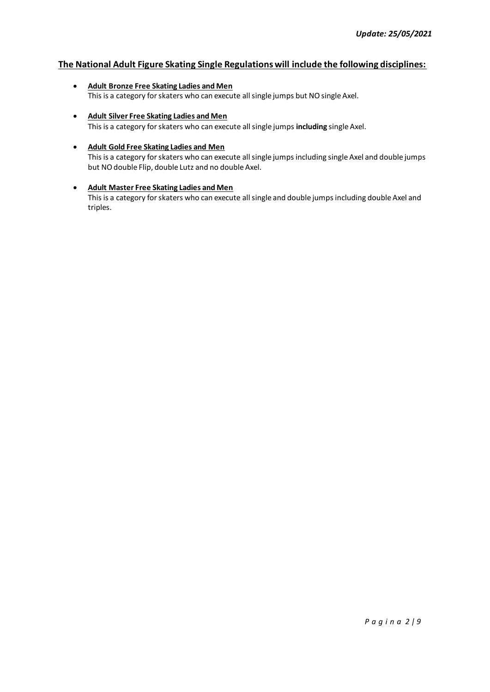### **The National Adult Figure Skating Single Regulations will include the following disciplines:**

- **Adult Bronze Free Skating Ladies and Men**  This is a category for skaters who can execute all single jumps but NO single Axel.
- **Adult Silver Free Skating Ladies and Men** This is a category for skaters who can execute all single jumps **including** single Axel.
- **Adult Gold Free Skating Ladies and Men** This is a category for skaters who can execute all single jumps including single Axel and double jumps but NO double Flip, double Lutz and no double Axel.
- **Adult Master Free Skating Ladies and Men** This is a category for skaters who can execute all single and double jumps including double Axel and triples.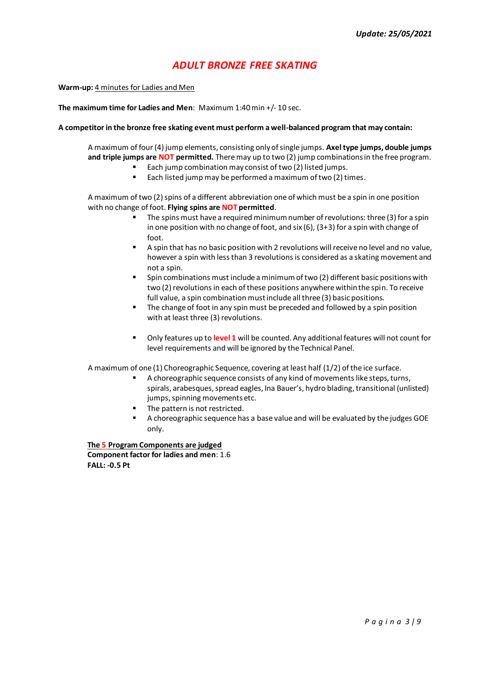## *ADULT BRONZE FREE SKATING*

**Warm-up:** 4 minutes for Ladies and Men

#### **The maximum time for Ladies and Men**: Maximum 1:40 min +/- 10 sec.

#### **A competitor in the bronze free skating event must perform a well-balanced program that may contain:**

A maximum of four (4) jump elements, consisting only of single jumps. **Axel type jumps, double jumps and triple jumps are NOT permitted.** There may up to two (2) jump combinations in the free program.

- Each jump combination may consist of two (2) listed jumps.
	- Each listed jump may be performed a maximum of two (2) times.

A maximum of two (2) spins of a different abbreviation one of which must be a spin in one position with no change of foot. **Flying spins are NOT permitted**.

- The spins must have a required minimum number of revolutions: three (3) for a spin in one position with no change of foot, and six (6), (3+3) for a spin with change of foot.
- A spin that has no basic position with 2 revolutions will receive no level and no value, however a spin with less than 3 revolutions is considered as a skating movement and not a spin.
- Spin combinations must include a minimum of two (2) different basic positions with two (2) revolutions in each of these positions anywhere within the spin. To receive full value, a spin combination must include all three (3) basic positions.
- The change of foot in any spin must be preceded and followed by a spin position with at least three (3) revolutions.
- Only features up to level 1 will be counted. Any additional features will not count for level requirements and will be ignored by the Technical Panel.

A maximum of one (1) Choreographic Sequence, covering at least half (1/2) of the ice surface.

- A choreographic sequence consists of any kind of movements like steps, turns, spirals, arabesques, spread eagles, Ina Bauer's, hydro blading, transitional (unlisted) jumps, spinning movements etc.
- The pattern is not restricted.
- A choreographic sequence has a base value and will be evaluated by the judges GOE only.

**The 5 Program Components are judged Component factor for ladies and men**: 1.6  **FALL: -0.5 Pt**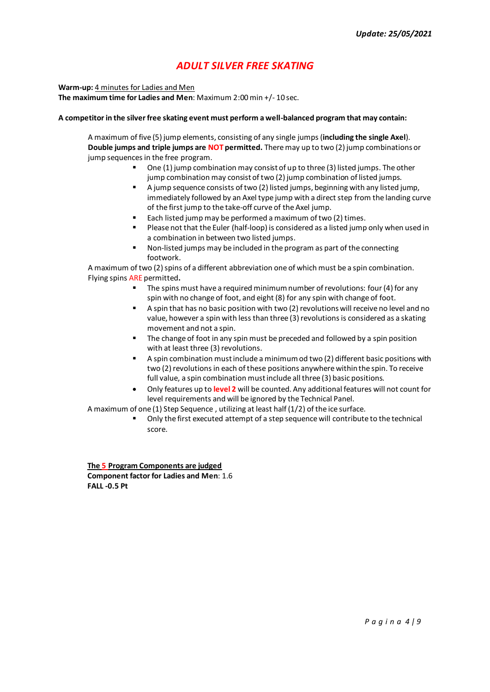## *ADULT SILVER FREE SKATING*

**Warm-up:** 4 minutes for Ladies and Men

**The maximum time for Ladies and Men: Maximum 2:00 min +/-10 sec.** 

#### **A competitor in the silver free skating event must perform a well-balanced program that may contain:**

A maximum of five (5) jump elements, consisting of any single jumps (**including the single Axel**). **Double jumps and triple jumps are NOT permitted.** There may up to two (2) jump combinations or jump sequences in the free program.

- One (1) jump combination may consist of up to three (3) listed jumps. The other jump combination may consist of two (2) jump combination of listed jumps.
- A jump sequence consists of two (2) listed jumps, beginning with any listed jump, immediately followed by an Axel type jump with a direct step from the landing curve of the first jump to the take-off curve of the Axel jump.
- Each listed jump may be performed a maximum of two (2) times.
- Please not that the Euler (half-loop) is considered as a listed jump only when used in a combination in between two listed jumps.
- Non-listed jumps may be included in the program as part of the connecting footwork.

A maximum of two (2) spins of a different abbreviation one of which must be a spin combination. Flying spins ARE permitted**.**

- The spins must have a required minimum number of revolutions: four (4) for any spin with no change of foot, and eight (8) for any spin with change of foot.
- A spin that has no basic position with two (2) revolutions will receive no level and no value, however a spin with less than three (3) revolutions is considered as a skating movement and not a spin.
- The change of foot in any spin must be preceded and followed by a spin position with at least three (3) revolutions.
- A spin combination must include a minimum od two (2) different basic positions with two (2) revolutions in each of these positions anywhere within the spin. To receive full value, a spin combination must include all three (3) basic positions.
- Only features up to **level 2** will be counted. Any additional features will not count for level requirements and will be ignored by the Technical Panel.

A maximum of one (1) Step Sequence , utilizing at least half (1/2) of the ice surface.

Only the first executed attempt of a step sequence will contribute to the technical score.

**The 5 Program Components are judged Component factor for Ladies and Men**: 1.6  **FALL -0.5 Pt**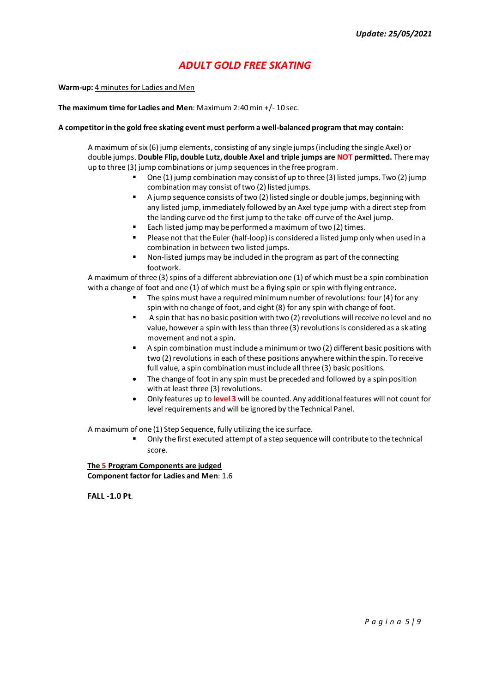# *ADULT GOLD FREE SKATING*

**Warm-up:** 4 minutes for Ladies and Men

**The maximum time for Ladies and Men**: Maximum 2:40min +/- 10 sec.

#### **A competitor in the gold free skating event must perform a well-balanced program that may contain:**

A maximum of six (6) jump elements, consisting of any single jumps (including the single Axel) or double jumps. **Double Flip, double Lutz, double Axel and triple jumps are NOT permitted.** There may up to three (3) jump combinations or jump sequences in the free program.

- One  $(1)$  jump combination may consist of up to three  $(3)$  listed jumps. Two  $(2)$  jump combination may consist of two (2) listed jumps.
- A jump sequence consists of two (2) listed single or double jumps, beginning with any listed jump, immediately followed by an Axel type jump with a direct step from the landing curve od the first jump to the take-off curve of the Axel jump.
- Each listed jump may be performed a maximum of two (2) times.
- Please not that the Euler (half-loop) is considered a listed jump only when used in a combination in between two listed jumps.
- Non-listed jumps may be included in the program as part of the connecting footwork.

A maximum of three (3) spins of a different abbreviation one (1) of which must be a spin combination with a change of foot and one (1) of which must be a flying spin or spin with flying entrance.

- The spins must have a required minimum number of revolutions: four  $(4)$  for any spin with no change of foot, and eight (8) for any spin with change of foot.
- A spin that has no basic position with two (2) revolutions will receive no level and no value, however a spin with less than three (3) revolutions is considered as a skating movement and not a spin.
- A spin combination must include a minimum or two (2) different basic positions with two (2) revolutions in each of these positions anywhere within the spin. To receive full value, a spin combination must include all three (3) basic positions.
- The change of foot in any spin must be preceded and followed by a spin position with at least three (3) revolutions.
- Only features up to **level 3** will be counted. Any additional features will not count for level requirements and will be ignored by the Technical Panel.

A maximum of one (1) Step Sequence, fully utilizing the ice surface.

Only the first executed attempt of a step sequence will contribute to the technical score.

**The 5 Program Components are judged Component factor for Ladies and Men**: 1.6

 **FALL -1.0 Pt**.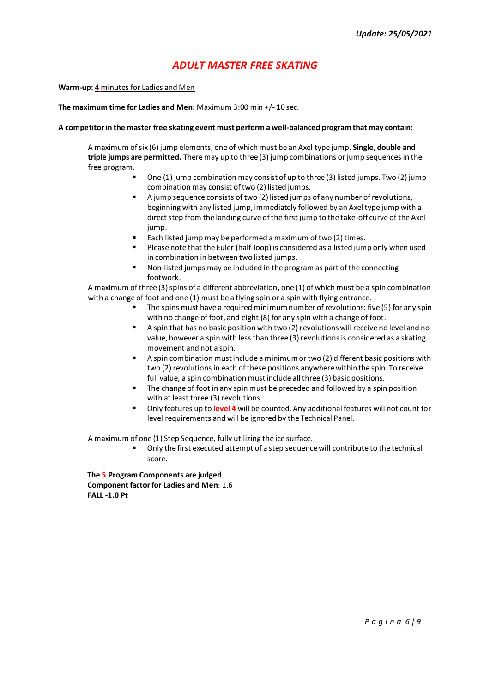## *ADULT MASTER FREE SKATING*

**Warm-up:** 4 minutes for Ladies and Men

**The maximum time for Ladies and Men:** Maximum 3:00 min +/- 10 sec.

#### **A competitor in the master free skating event must perform a well-balanced program that may contain:**

A maximum of six (6) jump elements, one of which must be an Axel type jump. **Single, double and triple jumps are permitted.** There may up to three (3) jump combinations or jump sequences in the free program.

- One  $(1)$  jump combination may consist of up to three  $(3)$  listed jumps. Two  $(2)$  jump combination may consist of two (2) listed jumps.
- A jump sequence consists of two (2) listed jumps of any number of revolutions, beginning with any listed jump, immediately followed by an Axel type jump with a direct step from the landing curve of the first jump to the take-off curve of the Axel jump.
- Each listed jump may be performed a maximum of two (2) times.
- Please note that the Euler (half-loop) is considered as a listed jump only when used in combination in between two listed jumps.
- Non-listed jumps may be included in the program as part of the connecting footwork.

A maximum of three (3) spins of a different abbreviation, one (1) of which must be a spin combination with a change of foot and one (1) must be a flying spin or a spin with flying entrance.

- The spins must have a required minimum number of revolutions: five (5) for any spin with no change of foot, and eight (8) for any spin with a change of foot.
- A spin that has no basic position with two (2) revolutions will receive no level and no value, however a spin with less than three (3) revolutions is considered as a skating movement and not a spin.
- A spin combination must include a minimum or two (2) different basic positions with two (2) revolutions in each of these positions anywhere within the spin. To receive full value, a spin combination must include all three (3) basic positions.
- The change of foot in any spin must be preceded and followed by a spin position with at least three (3) revolutions.
- Only features up to **level 4** will be counted. Any additional features will not count for level requirements and will be ignored by the Technical Panel.

A maximum of one (1) Step Sequence, fully utilizing the ice surface.

Only the first executed attempt of a step sequence will contribute to the technical score.

**The 5 Program Components are judged Component factor for Ladies and Men**: 1.6  **FALL -1.0 Pt**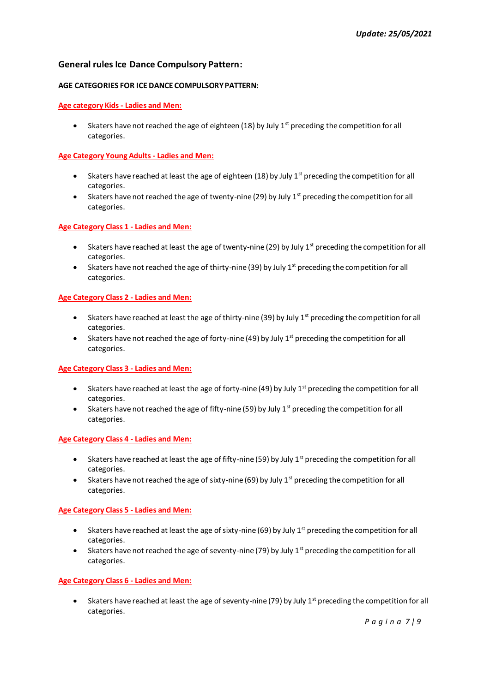### **General rules Ice Dance Compulsory Pattern:**

#### **AGE CATEGORIES FOR ICE DANCE COMPULSORY PATTERN:**

#### **Age category Kids - Ladies and Men:**

• Skaters have not reached the age of eighteen (18) by July  $1<sup>st</sup>$  preceding the competition for all categories.

#### **Age Category Young Adults - Ladies and Men:**

- Skaters have reached at least the age of eighteen (18) by July  $1<sup>st</sup>$  preceding the competition for all categories.
- Skaters have not reached the age of twenty-nine (29) by July  $1<sup>st</sup>$  preceding the competition for all categories.

#### **Age Category Class 1 - Ladies and Men:**

- Skaters have reached at least the age of twenty-nine (29) by July  $1<sup>st</sup>$  preceding the competition for all categories.
- Skaters have not reached the age of thirty-nine (39) by July  $1<sup>st</sup>$  preceding the competition for all categories.

#### **Age Category Class 2 - Ladies and Men:**

- Skaters have reached at least the age of thirty-nine (39) by July  $1<sup>st</sup>$  preceding the competition for all categories.
- Skaters have not reached the age of forty-nine (49) by July 1<sup>st</sup> preceding the competition for all categories.

#### **Age Category Class 3 - Ladies and Men:**

- Skaters have reached at least the age of forty-nine (49) by July  $1<sup>st</sup>$  preceding the competition for all categories.
- Skaters have not reached the age of fifty-nine (59) by July  $1<sup>st</sup>$  preceding the competition for all categories.

#### **Age Category Class 4 - Ladies and Men:**

- Skaters have reached at least the age of fifty-nine (59) by July  $1<sup>st</sup>$  preceding the competition for all categories.
- Skaters have not reached the age of sixty-nine (69) by July  $1<sup>st</sup>$  preceding the competition for all categories.

#### **Age Category Class 5 - Ladies and Men:**

- Skaters have reached at least the age of sixty-nine (69) by July  $1<sup>st</sup>$  preceding the competition for all categories.
- Skaters have not reached the age of seventy-nine (79) by July  $1<sup>st</sup>$  preceding the competition for all categories.

#### **Age Category Class 6 - Ladies and Men:**

• Skaters have reached at least the age of seventy-nine (79) by July 1<sup>st</sup> preceding the competition for all categories.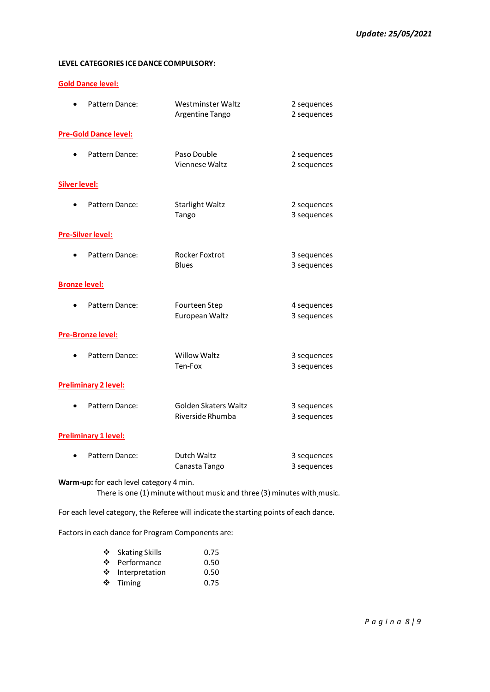### **LEVEL CATEGORIES ICE DANCE COMPULSORY:**

#### **Gold Dance level:**

| Pattern Dance:                          | Westminster Waltz<br>Argentine Tango                                    | 2 sequences<br>2 sequences |
|-----------------------------------------|-------------------------------------------------------------------------|----------------------------|
| <b>Pre-Gold Dance level:</b>            |                                                                         |                            |
| Pattern Dance:                          | Paso Double<br>Viennese Waltz                                           | 2 sequences<br>2 sequences |
| <b>Silver level:</b>                    |                                                                         |                            |
| Pattern Dance:                          | <b>Starlight Waltz</b><br>Tango                                         | 2 sequences<br>3 sequences |
| <b>Pre-Silver level:</b>                |                                                                         |                            |
| Pattern Dance:                          | Rocker Foxtrot<br><b>Blues</b>                                          | 3 sequences<br>3 sequences |
| <b>Bronze level:</b>                    |                                                                         |                            |
| Pattern Dance:                          | Fourteen Step<br>European Waltz                                         | 4 sequences<br>3 sequences |
| Pre-Bronze level:                       |                                                                         |                            |
| Pattern Dance:                          | <b>Willow Waltz</b><br>Ten-Fox                                          | 3 sequences<br>3 sequences |
| <b>Preliminary 2 level:</b>             |                                                                         |                            |
| Pattern Dance:                          | Golden Skaters Waltz<br>Riverside Rhumba                                | 3 sequences<br>3 sequences |
| <b>Preliminary 1 level:</b>             |                                                                         |                            |
| Pattern Dance:                          | Dutch Waltz<br>Canasta Tango                                            | 3 sequences<br>3 sequences |
| Warm-up: for each level category 4 min. | There is one (1) minute without music and three (3) minutes with music. |                            |

For each level category, the Referee will indicate the starting points of each dance.

Factors in each dance for Program Components are:

|     | ❖ Skating Skills | 0.75 |
|-----|------------------|------|
| ❖   | Performance      | 0.50 |
| ※ 1 | Interpretation   | 0.50 |
|     | $\div$ Timing    | 0.75 |